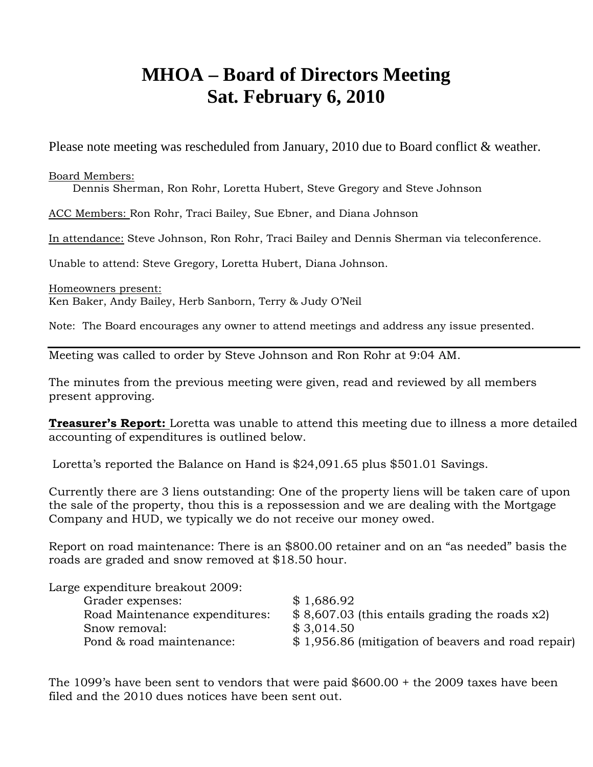## **MHOA – Board of Directors Meeting Sat. February 6, 2010**

Please note meeting was rescheduled from January, 2010 due to Board conflict & weather.

Board Members:

Dennis Sherman, Ron Rohr, Loretta Hubert, Steve Gregory and Steve Johnson

ACC Members: Ron Rohr, Traci Bailey, Sue Ebner, and Diana Johnson

In attendance: Steve Johnson, Ron Rohr, Traci Bailey and Dennis Sherman via teleconference.

Unable to attend: Steve Gregory, Loretta Hubert, Diana Johnson.

Homeowners present:

Ken Baker, Andy Bailey, Herb Sanborn, Terry & Judy O'Neil

Note: The Board encourages any owner to attend meetings and address any issue presented.

Meeting was called to order by Steve Johnson and Ron Rohr at 9:04 AM.

The minutes from the previous meeting were given, read and reviewed by all members present approving.

**Treasurer's Report:** Loretta was unable to attend this meeting due to illness a more detailed accounting of expenditures is outlined below.

Loretta's reported the Balance on Hand is \$24,091.65 plus \$501.01 Savings.

Currently there are 3 liens outstanding: One of the property liens will be taken care of upon the sale of the property, thou this is a repossession and we are dealing with the Mortgage Company and HUD, we typically we do not receive our money owed.

Report on road maintenance: There is an \$800.00 retainer and on an "as needed" basis the roads are graded and snow removed at \$18.50 hour.

| Large expenditure breakout 2009: |                                                    |
|----------------------------------|----------------------------------------------------|
| Grader expenses:                 | \$1,686.92                                         |
| Road Maintenance expenditures:   | $$8,607.03$ (this entails grading the roads x2)    |
| Snow removal:                    | \$3,014,50                                         |
| Pond & road maintenance:         | \$1,956.86 (mitigation of beavers and road repair) |

The 1099's have been sent to vendors that were paid \$600.00 + the 2009 taxes have been filed and the 2010 dues notices have been sent out.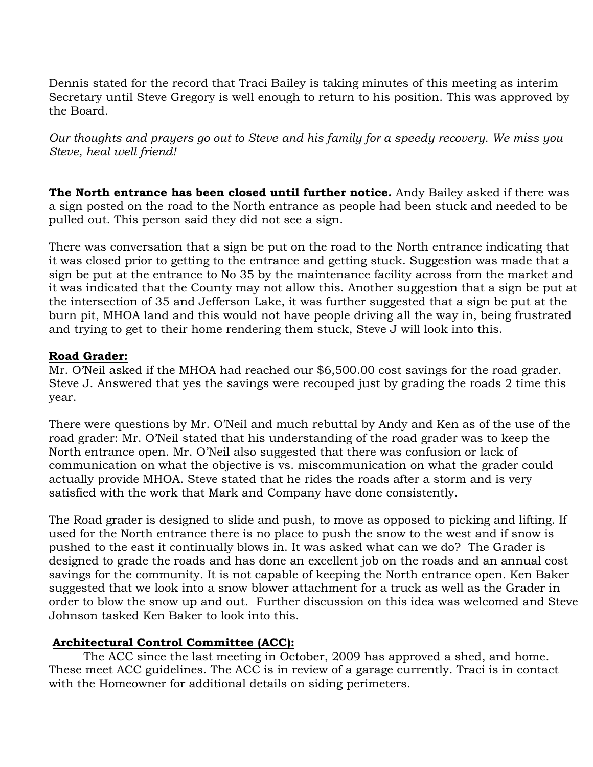Dennis stated for the record that Traci Bailey is taking minutes of this meeting as interim Secretary until Steve Gregory is well enough to return to his position. This was approved by the Board.

*Our thoughts and prayers go out to Steve and his family for a speedy recovery. We miss you Steve, heal well friend!* 

**The North entrance has been closed until further notice.** Andy Bailey asked if there was a sign posted on the road to the North entrance as people had been stuck and needed to be pulled out. This person said they did not see a sign.

There was conversation that a sign be put on the road to the North entrance indicating that it was closed prior to getting to the entrance and getting stuck. Suggestion was made that a sign be put at the entrance to No 35 by the maintenance facility across from the market and it was indicated that the County may not allow this. Another suggestion that a sign be put at the intersection of 35 and Jefferson Lake, it was further suggested that a sign be put at the burn pit, MHOA land and this would not have people driving all the way in, being frustrated and trying to get to their home rendering them stuck, Steve J will look into this.

## **Road Grader:**

Mr. O'Neil asked if the MHOA had reached our \$6,500.00 cost savings for the road grader. Steve J. Answered that yes the savings were recouped just by grading the roads 2 time this year.

There were questions by Mr. O'Neil and much rebuttal by Andy and Ken as of the use of the road grader: Mr. O'Neil stated that his understanding of the road grader was to keep the North entrance open. Mr. O'Neil also suggested that there was confusion or lack of communication on what the objective is vs. miscommunication on what the grader could actually provide MHOA. Steve stated that he rides the roads after a storm and is very satisfied with the work that Mark and Company have done consistently.

The Road grader is designed to slide and push, to move as opposed to picking and lifting. If used for the North entrance there is no place to push the snow to the west and if snow is pushed to the east it continually blows in. It was asked what can we do? The Grader is designed to grade the roads and has done an excellent job on the roads and an annual cost savings for the community. It is not capable of keeping the North entrance open. Ken Baker suggested that we look into a snow blower attachment for a truck as well as the Grader in order to blow the snow up and out. Further discussion on this idea was welcomed and Steve Johnson tasked Ken Baker to look into this.

## **Architectural Control Committee (ACC):**

The ACC since the last meeting in October, 2009 has approved a shed, and home. These meet ACC guidelines. The ACC is in review of a garage currently. Traci is in contact with the Homeowner for additional details on siding perimeters.